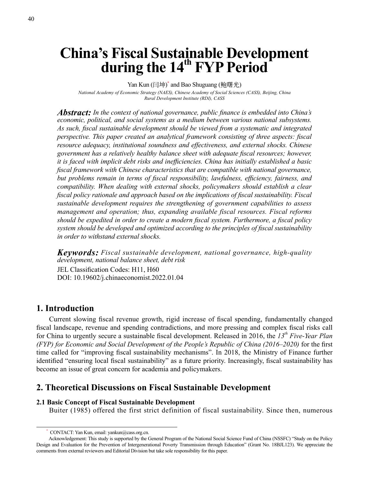# **China's Fiscal Sustainable Development**  during the 14<sup>th</sup> FYP Period

Yan Kun (闫坤)<sup>\*</sup> and Bao Shuguang (鲍曙光) *National Academy of Economic Strategy (NAES), Chinese Academy of Social Sciences (CASS), Beijing, China Rural Development Institute (RDI), CASS*

*Abstract: In the context of national governance, public finance is embedded into China's economic, political, and social systems as a medium between various national subsystems. As such, fiscal sustainable development should be viewed from a systematic and integrated perspective. This paper created an analytical framework consisting of three aspects: fiscal resource adequacy, institutional soundness and effectiveness, and external shocks. Chinese government has a relatively healthy balance sheet with adequate fiscal resources; however, it is faced with implicit debt risks and inefficiencies. China has initially established a basic fiscal framework with Chinese characteristics that are compatible with national governance, but problems remain in terms of fiscal responsibility, lawfulness, efficiency, fairness, and compatibility. When dealing with external shocks, policymakers should establish a clear fiscal policy rationale and approach based on the implications of fiscal sustainability. Fiscal sustainable development requires the strengthening of government capabilities to assess management and operation; thus, expanding available fiscal resources. Fiscal reforms should be expedited in order to create a modern fiscal system. Furthermore, a fiscal policy system should be developed and optimized according to the principles of fiscal sustainability in order to withstand external shocks.*

*Keywords: Fiscal sustainable development, national governance, high-quality development, national balance sheet, debt risk* JEL Classification Codes: H11, H60 DOI: 10.19602/j.chinaeconomist.2022.01.04

# **1. Introduction**

Current slowing fiscal revenue growth, rigid increase of fiscal spending, fundamentally changed fiscal landscape, revenue and spending contradictions, and more pressing and complex fiscal risks call for China to urgently secure a sustainable fiscal development. Released in 2016, the *13th Five-Year Plan (FYP) for Economic and Social Development of the People's Republic of China (2016–2020)* for the first time called for "improving fiscal sustainability mechanisms". In 2018, the Ministry of Finance further identified "ensuring local fiscal sustainability" as a future priority. Increasingly, fiscal sustainability has become an issue of great concern for academia and policymakers.

# **2. Theoretical Discussions on Fiscal Sustainable Development**

## **2.1 Basic Concept of Fiscal Sustainable Development**

Buiter (1985) offered the first strict definition of fiscal sustainability. Since then, numerous

CONTACT: Yan Kun, email: yankun@cass.org.cn.

Acknowledgement: This study is supported by the General Program of the National Social Science Fund of China (NSSFC) "Study on the Policy Design and Evaluation for the Prevention of Intergenerational Poverty Transmission through Education" (Grant No. 18BJL123). We appreciate the comments from external reviewers and Editorial Division but take sole responsibility for this paper.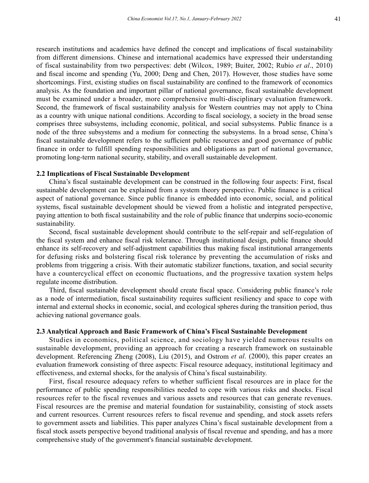research institutions and academics have defined the concept and implications of fiscal sustainability from different dimensions. Chinese and international academics have expressed their understanding of fiscal sustainability from two perspectives: debt (Wilcox, 1989; Buiter, 2002; Rubio *et al*., 2010) and fiscal income and spending (Yu, 2000; Deng and Chen, 2017). However, those studies have some shortcomings. First, existing studies on fiscal sustainability are confined to the framework of economics analysis. As the foundation and important pillar of national governance, fiscal sustainable development must be examined under a broader, more comprehensive multi-disciplinary evaluation framework. Second, the framework of fiscal sustainability analysis for Western countries may not apply to China as a country with unique national conditions. According to fiscal sociology, a society in the broad sense comprises three subsystems, including economic, political, and social subsystems. Public finance is a node of the three subsystems and a medium for connecting the subsystems. In a broad sense, China's fiscal sustainable development refers to the sufficient public resources and good governance of public finance in order to fulfill spending responsibilities and obligations as part of national governance, promoting long-term national security, stability, and overall sustainable development.

#### **2.2 Implications of Fiscal Sustainable Development**

China's fiscal sustainable development can be construed in the following four aspects: First, fiscal sustainable development can be explained from a system theory perspective. Public finance is a critical aspect of national governance. Since public finance is embedded into economic, social, and political systems, fiscal sustainable development should be viewed from a holistic and integrated perspective, paying attention to both fiscal sustainability and the role of public finance that underpins socio-economic sustainability.

Second, fiscal sustainable development should contribute to the self-repair and self-regulation of the fiscal system and enhance fiscal risk tolerance. Through institutional design, public finance should enhance its self-recovery and self-adjustment capabilities thus making fiscal institutional arrangements for defusing risks and bolstering fiscal risk tolerance by preventing the accumulation of risks and problems from triggering a crisis. With their automatic stabilizer functions, taxation, and social security have a countercyclical effect on economic fluctuations, and the progressive taxation system helps regulate income distribution.

Third, fiscal sustainable development should create fiscal space. Considering public finance's role as a node of intermediation, fiscal sustainability requires sufficient resiliency and space to cope with internal and external shocks in economic, social, and ecological spheres during the transition period, thus achieving national governance goals.

## **2.3 Analytical Approach and Basic Framework of China's Fiscal Sustainable Development**

Studies in economics, political science, and sociology have yielded numerous results on sustainable development, providing an approach for creating a research framework on sustainable development. Referencing Zheng (2008), Liu (2015), and Ostrom *et al*. (2000), this paper creates an evaluation framework consisting of three aspects: Fiscal resource adequacy, institutional legitimacy and effectiveness, and external shocks, for the analysis of China's fiscal sustainability.

First, fiscal resource adequacy refers to whether sufficient fiscal resources are in place for the performance of public spending responsibilities needed to cope with various risks and shocks. Fiscal resources refer to the fiscal revenues and various assets and resources that can generate revenues. Fiscal resources are the premise and material foundation for sustainability, consisting of stock assets and current resources. Current resources refers to fiscal revenue and spending, and stock assets refers to government assets and liabilities. This paper analyzes China's fiscal sustainable development from a fiscal stock assets perspective beyond traditional analysis of fiscal revenue and spending, and has a more comprehensive study of the government's financial sustainable development.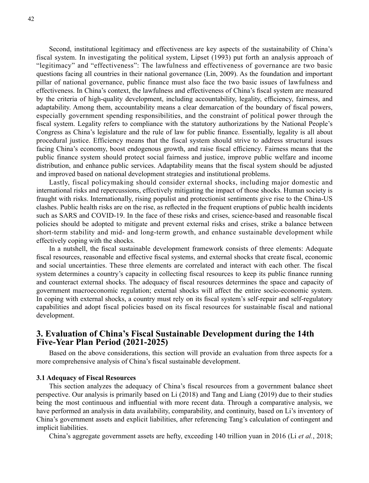Second, institutional legitimacy and effectiveness are key aspects of the sustainability of China's fiscal system. In investigating the political system, Lipset (1993) put forth an analysis approach of "legitimacy" and "effectiveness": The lawfulness and effectiveness of governance are two basic questions facing all countries in their national governance (Lin, 2009). As the foundation and important pillar of national governance, public finance must also face the two basic issues of lawfulness and effectiveness. In China's context, the lawfulness and effectiveness of China's fiscal system are measured by the criteria of high-quality development, including accountability, legality, efficiency, fairness, and adaptability. Among them, accountability means a clear demarcation of the boundary of fiscal powers, especially government spending responsibilities, and the constraint of political power through the fiscal system. Legality refers to compliance with the statutory authorizations by the National People's Congress as China's legislature and the rule of law for public finance. Essentially, legality is all about procedural justice. Efficiency means that the fiscal system should strive to address structural issues facing China's economy, boost endogenous growth, and raise fiscal efficiency. Fairness means that the public finance system should protect social fairness and justice, improve public welfare and income distribution, and enhance public services. Adaptability means that the fiscal system should be adjusted and improved based on national development strategies and institutional problems.

Lastly, fiscal policymaking should consider external shocks, including major domestic and international risks and repercussions, effectively mitigating the impact of those shocks. Human society is fraught with risks. Internationally, rising populist and protectionist sentiments give rise to the China-US clashes. Public health risks are on the rise, as reflected in the frequent eruptions of public health incidents such as SARS and COVID-19. In the face of these risks and crises, science-based and reasonable fiscal policies should be adopted to mitigate and prevent external risks and crises, strike a balance between short-term stability and mid- and long-term growth, and enhance sustainable development while effectively coping with the shocks.

In a nutshell, the fiscal sustainable development framework consists of three elements: Adequate fiscal resources, reasonable and effective fiscal systems, and external shocks that create fiscal, economic and social uncertainties. These three elements are correlated and interact with each other. The fiscal system determines a country's capacity in collecting fiscal resources to keep its public finance running and counteract external shocks. The adequacy of fiscal resources determines the space and capacity of government macroeconomic regulation; external shocks will affect the entire socio-economic system. In coping with external shocks, a country must rely on its fiscal system's self-repair and self-regulatory capabilities and adopt fiscal policies based on its fiscal resources for sustainable fiscal and national development.

# **3. Evaluation of China's Fiscal Sustainable Development during the 14th Five-Year Plan Period (2021-2025)**

Based on the above considerations, this section will provide an evaluation from three aspects for a more comprehensive analysis of China's fiscal sustainable development.

## **3.1 Adequacy of Fiscal Resources**

This section analyzes the adequacy of China's fiscal resources from a government balance sheet perspective. Our analysis is primarily based on Li (2018) and Tang and Liang (2019) due to their studies being the most continuous and influential with more recent data. Through a comparative analysis, we have performed an analysis in data availability, comparability, and continuity, based on Li's inventory of China's government assets and explicit liabilities, after referencing Tang's calculation of contingent and implicit liabilities.

China's aggregate government assets are hefty, exceeding 140 trillion yuan in 2016 (Li *et al.*, 2018;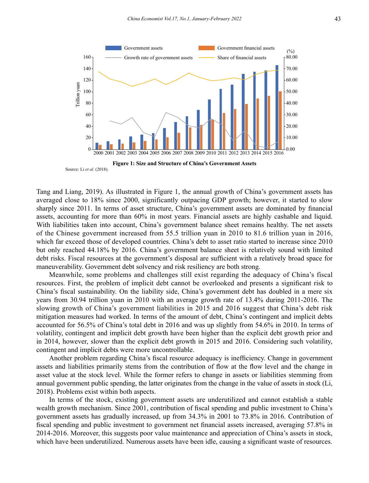

Tang and Liang, 2019). As illustrated in Figure 1, the annual growth of China's government assets has averaged close to 18% since 2000, significantly outpacing GDP growth; however, it started to slow sharply since 2011. In terms of asset structure, China's government assets are dominated by financial assets, accounting for more than 60% in most years. Financial assets are highly cashable and liquid. With liabilities taken into account, China's government balance sheet remains healthy. The net assets of the Chinese government increased from 55.5 trillion yuan in 2010 to 81.6 trillion yuan in 2016, which far exceed those of developed countries. China's debt to asset ratio started to increase since 2010 but only reached 44.18% by 2016. China's government balance sheet is relatively sound with limited debt risks. Fiscal resources at the government's disposal are sufficient with a relatively broad space for maneuverability. Government debt solvency and risk resiliency are both strong.

Meanwhile, some problems and challenges still exist regarding the adequacy of China's fiscal resources. First, the problem of implicit debt cannot be overlooked and presents a significant risk to China's fiscal sustainability. On the liability side, China's government debt has doubled in a mere six years from 30.94 trillion yuan in 2010 with an average growth rate of 13.4% during 2011-2016. The slowing growth of China's government liabilities in 2015 and 2016 suggest that China's debt risk mitigation measures had worked. In terms of the amount of debt, China's contingent and implicit debts accounted for 56.5% of China's total debt in 2016 and was up slightly from 54.6% in 2010. In terms of volatility, contingent and implicit debt growth have been higher than the explicit debt growth prior and in 2014, however, slower than the explicit debt growth in 2015 and 2016. Considering such volatility, contingent and implicit debts were more uncontrollable.

Another problem regarding China's fiscal resource adequacy is inefficiency. Change in government assets and liabilities primarily stems from the contribution of flow at the flow level and the change in asset value at the stock level. While the former refers to change in assets or liabilities stemming from annual government public spending, the latter originates from the change in the value of assets in stock (Li, 2018). Problems exist within both aspects.

In terms of the stock, existing government assets are underutilized and cannot establish a stable wealth growth mechanism. Since 2001, contribution of fiscal spending and public investment to China's government assets has gradually increased, up from 34.3% in 2001 to 73.8% in 2016. Contribution of fiscal spending and public investment to government net financial assets increased, averaging 57.8% in 2014-2016. Moreover, this suggests poor value maintenance and appreciation of China's assets in stock, which have been underutilized. Numerous assets have been idle, causing a significant waste of resources.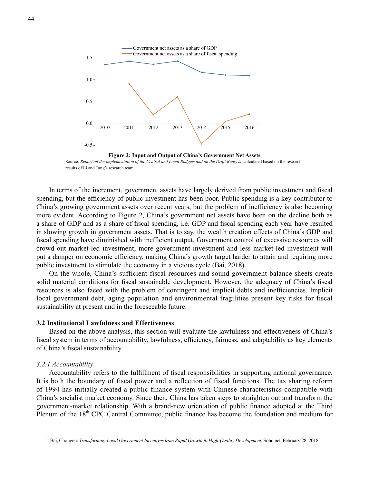2010 2011 2012 2013 2014 2015 2016 1.5 1.0 0.5 0.0 -0.5 Government net assets as a share of GDP Government net assets as a share of fiscal spending

**Figure 2: Input and Output of China's Government Net Assets** Source: *Report on the Implementation of the Central and Local Budgets and on the Draft Budgets*; calculated based on the research results of Li and Tang's research team.

In terms of the increment, government assets have largely derived from public investment and fiscal spending, but the efficiency of public investment has been poor. Public spending is a key contributor to China's growing government assets over recent years, but the problem of inefficiency is also becoming more evident. According to Figure 2, China's government net assets have been on the decline both as a share of GDP and as a share of fiscal spending, i.e. GDP and fiscal spending each year have resulted in slowing growth in government assets. That is to say, the wealth creation effects of China's GDP and fiscal spending have diminished with inefficient output. Government control of excessive resources will crowd out market-led investment; more government investment and less market-led investment will put a damper on economic efficiency, making China's growth target harder to attain and requiring more public investment to stimulate the economy in a vicious cycle  $(Bai, 2018)^1$ .

On the whole, China's sufficient fiscal resources and sound government balance sheets create solid material conditions for fiscal sustainable development. However, the adequacy of China's fiscal resources is also faced with the problem of contingent and implicit debts and inefficiencies. Implicit local government debt, aging population and environmental fragilities present key risks for fiscal sustainability at present and in the foreseeable future.

# **3.2 Institutional Lawfulness and Effectiveness**

Based on the above analysis, this section will evaluate the lawfulness and effectiveness of China's fiscal system in terms of accountability, lawfulness, efficiency, fairness, and adaptability as key elements of China's fiscal sustainability.

#### *3.2.1 Accountability*

Accountability refers to the fulfillment of fiscal responsibilities in supporting national governance. It is both the boundary of fiscal power and a reflection of fiscal functions. The tax sharing reform of 1994 has initially created a public finance system with Chinese characteristics compatible with China's socialist market economy. Since then, China has taken steps to straighten out and transform the government-market relationship. With a brand-new orientation of public finance adopted at the Third Plenum of the  $18<sup>th</sup>$  CPC Central Committee, public finance has become the foundation and medium for

<sup>&</sup>lt;sup>1</sup> Bai, Chongen: *Transforming Local Government Incentives from Rapid Growth to High-Quality Development*, Sohu.net, February 28, 2018.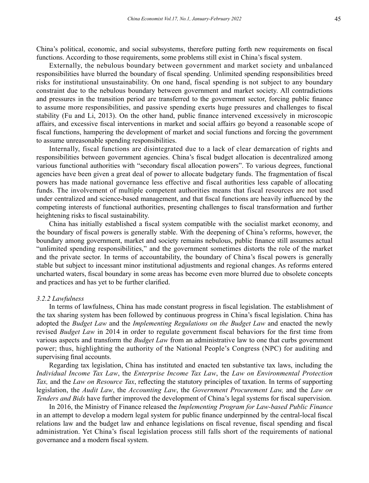China's political, economic, and social subsystems, therefore putting forth new requirements on fiscal functions. According to those requirements, some problems still exist in China's fiscal system.

Externally, the nebulous boundary between government and market society and unbalanced responsibilities have blurred the boundary of fiscal spending. Unlimited spending responsibilities breed risks for institutional unsustainability. On one hand, fiscal spending is not subject to any boundary constraint due to the nebulous boundary between government and market society. All contradictions and pressures in the transition period are transferred to the government sector, forcing public finance to assume more responsibilities, and passive spending exerts huge pressures and challenges to fiscal stability (Fu and Li, 2013). On the other hand, public finance intervened excessively in microscopic affairs, and excessive fiscal interventions in market and social affairs go beyond a reasonable scope of fiscal functions, hampering the development of market and social functions and forcing the government to assume unreasonable spending responsibilities.

Internally, fiscal functions are disintegrated due to a lack of clear demarcation of rights and responsibilities between government agencies. China's fiscal budget allocation is decentralized among various functional authorities with "secondary fiscal allocation powers". To various degrees, functional agencies have been given a great deal of power to allocate budgetary funds. The fragmentation of fiscal powers has made national governance less effective and fiscal authorities less capable of allocating funds. The involvement of multiple competent authorities means that fiscal resources are not used under centralized and science-based management, and that fiscal functions are heavily influenced by the competing interests of functional authorities, presenting challenges to fiscal transformation and further heightening risks to fiscal sustainability.

China has initially established a fiscal system compatible with the socialist market economy, and the boundary of fiscal powers is generally stable. With the deepening of China's reforms, however, the boundary among government, market and society remains nebulous, public finance still assumes actual "unlimited spending responsibilities," and the government sometimes distorts the role of the market and the private sector. In terms of accountability, the boundary of China's fiscal powers is generally stable but subject to incessant minor institutional adjustments and regional changes. As reforms entered uncharted waters, fiscal boundary in some areas has become even more blurred due to obsolete concepts and practices and has yet to be further clarified.

#### *3.2.2 Lawfulness*

In terms of lawfulness, China has made constant progress in fiscal legislation. The establishment of the tax sharing system has been followed by continuous progress in China's fiscal legislation. China has adopted the *Budget Law* and the *Implementing Regulations on the Budget Law* and enacted the newly revised *Budget Law* in 2014 in order to regulate government fiscal behaviors for the first time from various aspects and transform the *Budget Law* from an administrative law to one that curbs government power; thus, highlighting the authority of the National People's Congress (NPC) for auditing and supervising final accounts.

Regarding tax legislation, China has instituted and enacted ten substantive tax laws, including the *Individual Income Tax Law*, the *Enterprise Income Tax Law*, the *Law on Environmental Protection Tax,* and the *Law on Resource Tax*, reflecting the statutory principles of taxation. In terms of supporting legislation, the *Audit Law*, the *Accounting Law*, the *Government Procurement Law,* and the *Law on Tenders and Bids* have further improved the development of China's legal systems for fiscal supervision.

In 2016, the Ministry of Finance released the *Implementing Program for Law-based Public Finance* in an attempt to develop a modern legal system for public finance underpinned by the central-local fiscal relations law and the budget law and enhance legislations on fiscal revenue, fiscal spending and fiscal administration. Yet China's fiscal legislation process still falls short of the requirements of national governance and a modern fiscal system.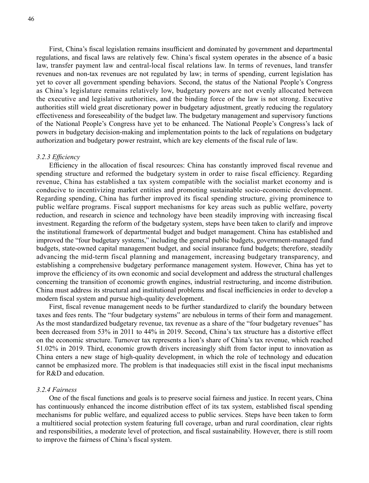First, China's fiscal legislation remains insufficient and dominated by government and departmental regulations, and fiscal laws are relatively few. China's fiscal system operates in the absence of a basic law, transfer payment law and central-local fiscal relations law. In terms of revenues, land transfer revenues and non-tax revenues are not regulated by law; in terms of spending, current legislation has yet to cover all government spending behaviors. Second, the status of the National People's Congress as China's legislature remains relatively low, budgetary powers are not evenly allocated between the executive and legislative authorities, and the binding force of the law is not strong. Executive authorities still wield great discretionary power in budgetary adjustment, greatly reducing the regulatory effectiveness and foreseeability of the budget law. The budgetary management and supervisory functions of the National People's Congress have yet to be enhanced. The National People's Congress's lack of powers in budgetary decision-making and implementation points to the lack of regulations on budgetary authorization and budgetary power restraint, which are key elements of the fiscal rule of law.

#### *3.2.3 Efficiency*

Efficiency in the allocation of fiscal resources: China has constantly improved fiscal revenue and spending structure and reformed the budgetary system in order to raise fiscal efficiency. Regarding revenue, China has established a tax system compatible with the socialist market economy and is conducive to incentivizing market entities and promoting sustainable socio-economic development. Regarding spending, China has further improved its fiscal spending structure, giving prominence to public welfare programs. Fiscal support mechanisms for key areas such as public welfare, poverty reduction, and research in science and technology have been steadily improving with increasing fiscal investment. Regarding the reform of the budgetary system, steps have been taken to clarify and improve the institutional framework of departmental budget and budget management. China has established and improved the "four budgetary systems," including the general public budgets, government-managed fund budgets, state-owned capital management budget, and social insurance fund budgets; therefore, steadily advancing the mid-term fiscal planning and management, increasing budgetary transparency, and establishing a comprehensive budgetary performance management system. However, China has yet to improve the efficiency of its own economic and social development and address the structural challenges concerning the transition of economic growth engines, industrial restructuring, and income distribution. China must address its structural and institutional problems and fiscal inefficiencies in order to develop a modern fiscal system and pursue high-quality development.

First, fiscal revenue management needs to be further standardized to clarify the boundary between taxes and fees rents. The "four budgetary systems" are nebulous in terms of their form and management. As the most standardized budgetary revenue, tax revenue as a share of the "four budgetary revenues" has been decreased from 53% in 2011 to 44% in 2019. Second, China's tax structure has a distortive effect on the economic structure. Turnover tax represents a lion's share of China's tax revenue, which reached 51.02% in 2019. Third, economic growth drivers increasingly shift from factor input to innovation as China enters a new stage of high-quality development, in which the role of technology and education cannot be emphasized more. The problem is that inadequacies still exist in the fiscal input mechanisms for R&D and education.

#### *3.2.4 Fairness*

One of the fiscal functions and goals is to preserve social fairness and justice. In recent years, China has continuously enhanced the income distribution effect of its tax system, established fiscal spending mechanisms for public welfare, and equalized access to public services. Steps have been taken to form a multitiered social protection system featuring full coverage, urban and rural coordination, clear rights and responsibilities, a moderate level of protection, and fiscal sustainability. However, there is still room to improve the fairness of China's fiscal system.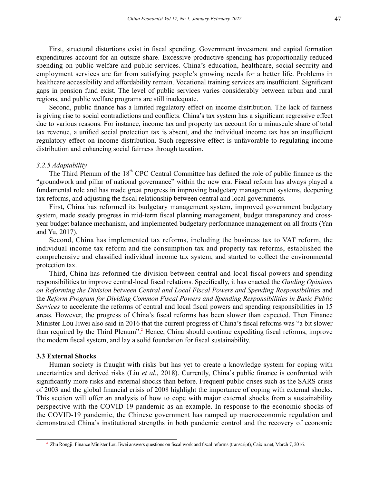First, structural distortions exist in fiscal spending. Government investment and capital formation expenditures account for an outsize share. Excessive productive spending has proportionally reduced spending on public welfare and public services. China's education, healthcare, social security and employment services are far from satisfying people's growing needs for a better life. Problems in healthcare accessibility and affordability remain. Vocational training services are insufficient. Significant gaps in pension fund exist. The level of public services varies considerably between urban and rural regions, and public welfare programs are still inadequate.

Second, public finance has a limited regulatory effect on income distribution. The lack of fairness is giving rise to social contradictions and conflicts. China's tax system has a significant regressive effect due to various reasons. For instance, income tax and property tax account for a minuscule share of total tax revenue, a unified social protection tax is absent, and the individual income tax has an insufficient regulatory effect on income distribution. Such regressive effect is unfavorable to regulating income distribution and enhancing social fairness through taxation.

#### *3.2.5 Adaptability*

The Third Plenum of the 18<sup>th</sup> CPC Central Committee has defined the role of public finance as the "groundwork and pillar of national governance" within the new era. Fiscal reform has always played a fundamental role and has made great progress in improving budgetary management systems, deepening tax reforms, and adjusting the fiscal relationship between central and local governments.

First, China has reformed its budgetary management system, improved government budgetary system, made steady progress in mid-term fiscal planning management, budget transparency and crossyear budget balance mechanism, and implemented budgetary performance management on all fronts (Yan and Yu, 2017).

Second, China has implemented tax reforms, including the business tax to VAT reform, the individual income tax reform and the consumption tax and property tax reforms, established the comprehensive and classified individual income tax system, and started to collect the environmental protection tax.

Third, China has reformed the division between central and local fiscal powers and spending responsibilities to improve central-local fiscal relations. Specifically, it has enacted the *Guiding Opinions on Reforming the Division between Central and Local Fiscal Powers and Spending Responsibilities* and the *Reform Program for Dividing Common Fiscal Powers and Spending Responsibilities in Basic Public Services* to accelerate the reforms of central and local fiscal powers and spending responsibilities in 15 areas. However, the progress of China's fiscal reforms has been slower than expected. Then Finance Minister Lou Jiwei also said in 2016 that the current progress of China's fiscal reforms was "a bit slower than required by the Third Plenum".<sup>2</sup> Hence, China should continue expediting fiscal reforms, improve the modern fiscal system, and lay a solid foundation for fiscal sustainability.

## **3.3 External Shocks**

Human society is fraught with risks but has yet to create a knowledge system for coping with uncertainties and derived risks (Liu *et al.*, 2018). Currently, China's public finance is confronted with significantly more risks and external shocks than before. Frequent public crises such as the SARS crisis of 2003 and the global financial crisis of 2008 highlight the importance of coping with external shocks. This section will offer an analysis of how to cope with major external shocks from a sustainability perspective with the COVID-19 pandemic as an example. In response to the economic shocks of the COVID-19 pandemic, the Chinese government has ramped up macroeconomic regulation and demonstrated China's institutional strengths in both pandemic control and the recovery of economic

<sup>&</sup>lt;sup>2</sup> Zhu Rongji: Finance Minister Lou Jiwei answers questions on fiscal work and fiscal reforms (transcript), Caixin.net, March 7, 2016.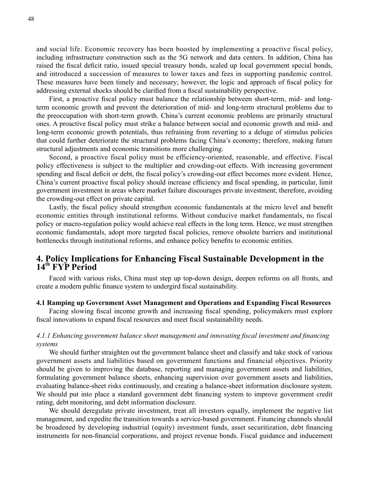and social life. Economic recovery has been boosted by implementing a proactive fiscal policy, including infrastructure construction such as the 5G network and data centers. In addition, China has raised the fiscal deficit ratio, issued special treasury bonds, scaled up local government special bonds, and introduced a succession of measures to lower taxes and fees in supporting pandemic control. These measures have been timely and necessary; however, the logic and approach of fiscal policy for addressing external shocks should be clarified from a fiscal sustainability perspective.

First, a proactive fiscal policy must balance the relationship between short-term, mid- and longterm economic growth and prevent the deterioration of mid- and long-term structural problems due to the preoccupation with short-term growth. China's current economic problems are primarily structural ones. A proactive fiscal policy must strike a balance between social and economic growth and mid- and long-term economic growth potentials, thus refraining from reverting to a deluge of stimulus policies that could further deteriorate the structural problems facing China's economy; therefore, making future structural adjustments and economic transitions more challenging.

Second, a proactive fiscal policy must be efficiency-oriented, reasonable, and effective. Fiscal policy effectiveness is subject to the multiplier and crowding-out effects. With increasing government spending and fiscal deficit or debt, the fiscal policy's crowding-out effect becomes more evident. Hence, China's current proactive fiscal policy should increase efficiency and fiscal spending, in particular, limit government investment in areas where market failure discourages private investment; therefore, avoiding the crowding-out effect on private capital.

Lastly, the fiscal policy should strengthen economic fundamentals at the micro level and benefit economic entities through institutional reforms. Without conducive market fundamentals, no fiscal policy or macro-regulation policy would achieve real effects in the long term. Hence, we must strengthen economic fundamentals, adopt more targeted fiscal policies, remove obsolete barriers and institutional bottlenecks through institutional reforms, and enhance policy benefits to economic entities.

# **4. Policy Implications for Enhancing Fiscal Sustainable Development in the 14th FYP Period**

Faced with various risks, China must step up top-down design, deepen reforms on all fronts, and create a modern public finance system to undergird fiscal sustainability.

#### **4.1 Ramping up Government Asset Management and Operations and Expanding Fiscal Resources**

Facing slowing fiscal income growth and increasing fiscal spending, policymakers must explore fiscal innovations to expand fiscal resources and meet fiscal sustainability needs.

# *4.1.1 Enhancing government balance sheet management and innovating fiscal investment and financing systems*

We should further straighten out the government balance sheet and classify and take stock of various government assets and liabilities based on government functions and financial objectives. Priority should be given to improving the database, reporting and managing government assets and liabilities, formulating government balance sheets, enhancing supervision over government assets and liabilities, evaluating balance-sheet risks continuously, and creating a balance-sheet information disclosure system. We should put into place a standard government debt financing system to improve government credit rating, debt monitoring, and debt information disclosure.

We should deregulate private investment, treat all investors equally, implement the negative list management, and expedite the transition towards a service-based government. Financing channels should be broadened by developing industrial (equity) investment funds, asset securitization, debt financing instruments for non-financial corporations, and project revenue bonds. Fiscal guidance and inducement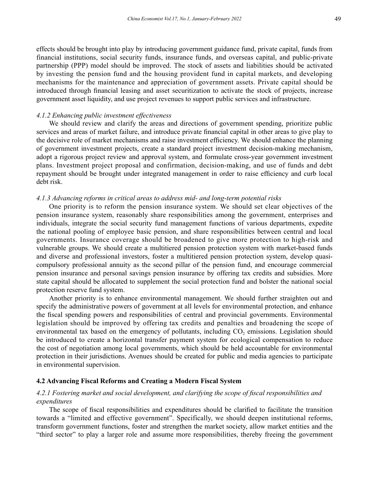effects should be brought into play by introducing government guidance fund, private capital, funds from financial institutions, social security funds, insurance funds, and overseas capital, and public-private partnership (PPP) model should be improved. The stock of assets and liabilities should be activated by investing the pension fund and the housing provident fund in capital markets, and developing mechanisms for the maintenance and appreciation of government assets. Private capital should be introduced through financial leasing and asset securitization to activate the stock of projects, increase government asset liquidity, and use project revenues to support public services and infrastructure.

# *4.1.2 Enhancing public investment effectiveness*

We should review and clarify the areas and directions of government spending, prioritize public services and areas of market failure, and introduce private financial capital in other areas to give play to the decisive role of market mechanisms and raise investment efficiency. We should enhance the planning of government investment projects, create a standard project investment decision-making mechanism, adopt a rigorous project review and approval system, and formulate cross-year government investment plans. Investment project proposal and confirmation, decision-making, and use of funds and debt repayment should be brought under integrated management in order to raise efficiency and curb local debt risk.

#### *4.1.3 Advancing reforms in critical areas to address mid- and long-term potential risks*

One priority is to reform the pension insurance system. We should set clear objectives of the pension insurance system, reasonably share responsibilities among the government, enterprises and individuals, integrate the social security fund management functions of various departments, expedite the national pooling of employee basic pension, and share responsibilities between central and local governments. Insurance coverage should be broadened to give more protection to high-risk and vulnerable groups. We should create a multitiered pension protection system with market-based funds and diverse and professional investors, foster a multitiered pension protection system, develop quasicompulsory professional annuity as the second pillar of the pension fund, and encourage commercial pension insurance and personal savings pension insurance by offering tax credits and subsidies. More state capital should be allocated to supplement the social protection fund and bolster the national social protection reserve fund system.

Another priority is to enhance environmental management. We should further straighten out and specify the administrative powers of government at all levels for environmental protection, and enhance the fiscal spending powers and responsibilities of central and provincial governments. Environmental legislation should be improved by offering tax credits and penalties and broadening the scope of environmental tax based on the emergency of pollutants, including  $CO<sub>2</sub>$  emissions. Legislation should be introduced to create a horizontal transfer payment system for ecological compensation to reduce the cost of negotiation among local governments, which should be held accountable for environmental protection in their jurisdictions. Avenues should be created for public and media agencies to participate in environmental supervision.

## **4.2 Advancing Fiscal Reforms and Creating a Modern Fiscal System**

# *4.2.1 Fostering market and social development, and clarifying the scope of fiscal responsibilities and expenditures*

The scope of fiscal responsibilities and expenditures should be clarified to facilitate the transition towards a "limited and effective government". Specifically, we should deepen institutional reforms, transform government functions, foster and strengthen the market society, allow market entities and the "third sector" to play a larger role and assume more responsibilities, thereby freeing the government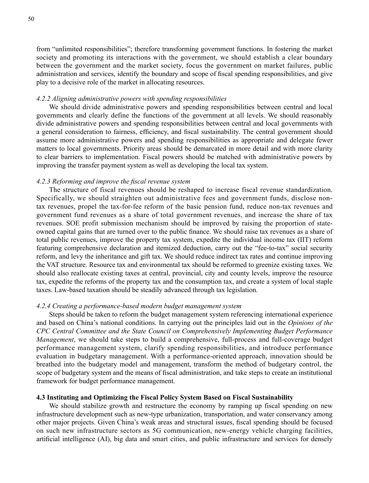from "unlimited responsibilities"; therefore transforming government functions. In fostering the market society and promoting its interactions with the government, we should establish a clear boundary between the government and the market society, focus the government on market failures, public administration and services, identify the boundary and scope of fiscal spending responsibilities, and give play to a decisive role of the market in allocating resources.

## *4.2.2 Aligning administrative powers with spending responsibilities*

We should divide administrative powers and spending responsibilities between central and local governments and clearly define the functions of the government at all levels. We should reasonably divide administrative powers and spending responsibilities between central and local governments with a general consideration to fairness, efficiency, and fiscal sustainability. The central government should assume more administrative powers and spending responsibilities as appropriate and delegate fewer matters to local governments. Priority areas should be demarcated in more detail and with more clarity to clear barriers to implementation. Fiscal powers should be matched with administrative powers by improving the transfer payment system as well as developing the local tax system.

#### *4.2.3 Reforming and improve the fiscal revenue system*

The structure of fiscal revenues should be reshaped to increase fiscal revenue standardization. Specifically, we should straighten out administrative fees and government funds, disclose nontax revenues, propel the tax-for-fee reform of the basic pension fund, reduce non-tax revenues and government fund revenues as a share of total government revenues, and increase the share of tax revenues. SOE profit submission mechanism should be improved by raising the proportion of stateowned capital gains that are turned over to the public finance. We should raise tax revenues as a share of total public revenues, improve the property tax system, expedite the individual income tax (IIT) reform featuring comprehensive declaration and itemized deduction, carry out the "fee-to-tax" social security reform, and levy the inheritance and gift tax. We should reduce indirect tax rates and continue improving the VAT structure. Resource tax and environmental tax should be reformed to greenize existing taxes. We should also reallocate existing taxes at central, provincial, city and county levels, improve the resource tax, expedite the reforms of the property tax and the consumption tax, and create a system of local staple taxes. Law-based taxation should be steadily advanced through tax legislation.

#### *4.2.4 Creating a performance-based modern budget management system*

Steps should be taken to reform the budget management system referencing international experience and based on China's national conditions. In carrying out the principles laid out in the *Opinions of the CPC Central Committee and the State Council on Comprehensively Implementing Budget Performance Management*, we should take steps to build a comprehensive, full-process and full-coverage budget performance management system, clarify spending responsibilities, and introduce performance evaluation in budgetary management. With a performance-oriented approach, innovation should be breathed into the budgetary model and management, transform the method of budgetary control, the scope of budgetary system and the means of fiscal administration, and take steps to create an institutional framework for budget performance management.

## **4.3 Instituting and Optimizing the Fiscal Policy System Based on Fiscal Sustainability**

We should stabilize growth and restructure the economy by ramping up fiscal spending on new infrastructure development such as new-type urbanization, transportation, and water conservancy among other major projects. Given China's weak areas and structural issues, fiscal spending should be focused on such new infrastructure sectors as 5G communication, new-energy vehicle charging facilities, artificial intelligence (AI), big data and smart cities, and public infrastructure and services for densely